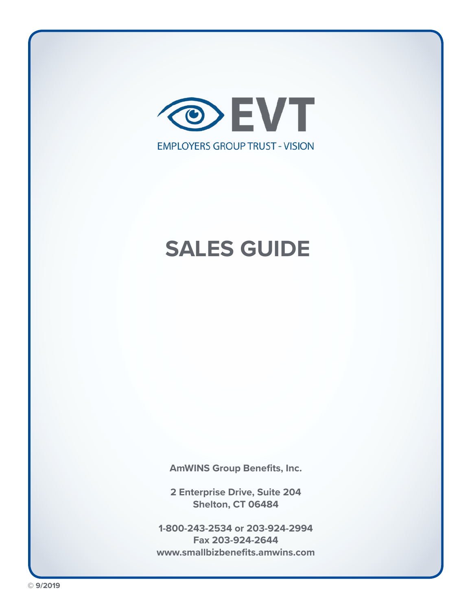

**AmWINS Group Benefits, Inc.**

**2 Enterprise Drive, Suite 204 Shelton, CT 06484** 

**1-800-243-2534 or 203-924-2994 Fax 203-924-2644 www.smallbizbenefits.amwins.com**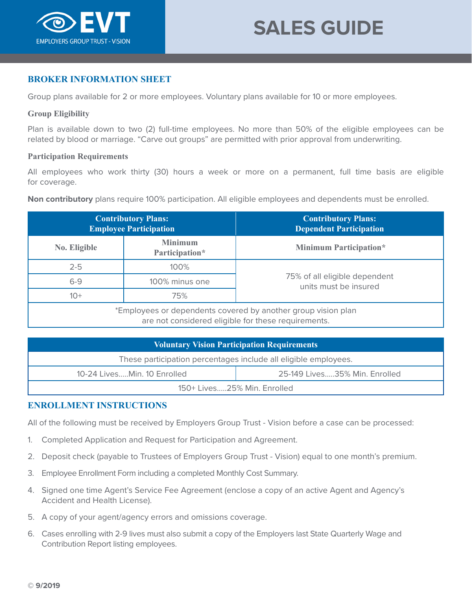

# **BROKER INFORMATION SHEET**

Group plans available for 2 or more employees. Voluntary plans available for 10 or more employees.

### **Group Eligibility**

Plan is available down to two (2) full-time employees. No more than 50% of the eligible employees can be related by blood or marriage. "Carve out groups" are permitted with prior approval from underwriting.

### **Participation Requirements**

All employees who work thirty (30) hours a week or more on a permanent, full time basis are eligible for coverage.

**Non contributory** plans require 100% participation. All eligible employees and dependents must be enrolled.

|                                                                                                                      | <b>Contributory Plans:</b><br><b>Employee Participation</b> | <b>Contributory Plans:</b><br><b>Dependent Participation</b> |  |
|----------------------------------------------------------------------------------------------------------------------|-------------------------------------------------------------|--------------------------------------------------------------|--|
| No. Eligible                                                                                                         | <b>Minimum</b><br>Participation*                            | <b>Minimum Participation*</b>                                |  |
| $2 - 5$                                                                                                              | 100%                                                        |                                                              |  |
| $6 - 9$                                                                                                              | 100% minus one                                              | 75% of all eligible dependent<br>units must be insured       |  |
| $10+$                                                                                                                | 75%                                                         |                                                              |  |
| *Employees or dependents covered by another group vision plan<br>are not considered eligible for these requirements. |                                                             |                                                              |  |

| <b>Voluntary Vision Participation Requirements</b>              |                               |  |  |
|-----------------------------------------------------------------|-------------------------------|--|--|
| These participation percentages include all eligible employees. |                               |  |  |
| 10-24 LivesMin. 10 Enrolled                                     | 25-149 Lives35% Min. Enrolled |  |  |
| 150+ Lives25% Min. Enrolled                                     |                               |  |  |

# **ENROLLMENT INSTRUCTIONS**

All of the following must be received by Employers Group Trust - Vision before a case can be processed:

- 1. Completed Application and Request for Participation and Agreement.
- 2. Deposit check (payable to Trustees of Employers Group Trust Vision) equal to one month's premium.
- 3. Employee Enrollment Form including a completed Monthly Cost Summary.
- 4. Signed one time Agent's Service Fee Agreement (enclose a copy of an active Agent and Agency's Accident and Health License).
- 5. A copy of your agent/agency errors and omissions coverage.
- 6. Cases enrolling with 2-9 lives must also submit a copy of the Employers last State Quarterly Wage and Contribution Report listing employees.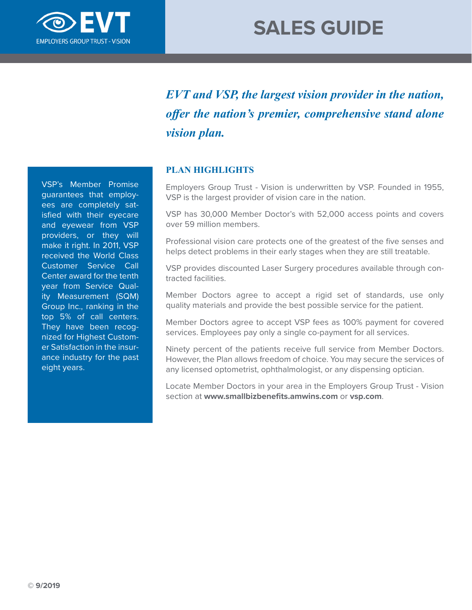

*EVT and VSP, the largest vision provider in the nation, offer the nation's premier, comprehensive stand alone vision plan.*

# **PLAN HIGHLIGHTS**

Employers Group Trust - Vision is underwritten by VSP. Founded in 1955, VSP is the largest provider of vision care in the nation.

VSP has 30,000 Member Doctor's with 52,000 access points and covers over 59 million members.

Professional vision care protects one of the greatest of the five senses and helps detect problems in their early stages when they are still treatable.

VSP provides discounted Laser Surgery procedures available through contracted facilities.

Member Doctors agree to accept a rigid set of standards, use only quality materials and provide the best possible service for the patient.

Member Doctors agree to accept VSP fees as 100% payment for covered services. Employees pay only a single co-payment for all services.

Ninety percent of the patients receive full service from Member Doctors. However, the Plan allows freedom of choice. You may secure the services of any licensed optometrist, ophthalmologist, or any dispensing optician.

Locate Member Doctors in your area in the Employers Group Trust - Vision section at **www.smallbizbenefits.amwins.com** or **vsp.com**.

VSP's Member Promise guarantees that employees are completely satisfied with their eyecare and eyewear from VSP providers, or they will make it right. In 2011, VSP received the World Class Customer Service Call Center award for the tenth year from Service Quality Measurement (SQM) Group Inc., ranking in the top 5% of call centers. They have been recognized for Highest Customer Satisfaction in the insurance industry for the past eight years.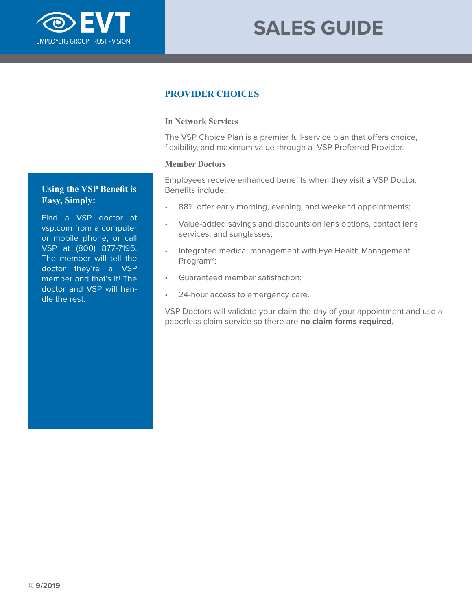

# **PROVIDER CHOICES**

## **In Network Services**

The VSP Choice Plan is a premier full-service plan that offers choice, flexibility, and maximum value through a VSP Preferred Provider.

### **Member Doctors**

Employees receive enhanced benefits when they visit a VSP Doctor. Benefits include:

- 88% offer early morning, evening, and weekend appointments;
- Value-added savings and discounts on lens options, contact lens services, and sunglasses;
- Integrated medical management with Eye Health Management Program®;
- Guaranteed member satisfaction;
- 24-hour access to emergency care.

VSP Doctors will validate your claim the day of your appointment and use a paperless claim service so there are **no claim forms required.**

# **Using the VSP Benefit is Easy, Simply:**

Find a VSP doctor at vsp.com from a computer or mobile phone, or call VSP at (800) 877-7195. The member will tell the doctor they're a VSP member and that's it! The doctor and VSP will handle the rest.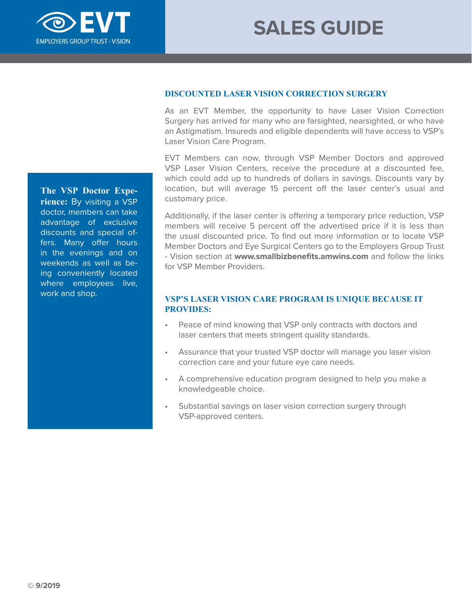

**DISCOUNTED LASER VISION CORRECTION SURGERY**

As an EVT Member, the opportunity to have Laser Vision Correction Surgery has arrived for many who are farsighted, nearsighted, or who have an Astigmatism. Insureds and eligible dependents will have access to VSP's Laser Vision Care Program.

EVT Members can now, through VSP Member Doctors and approved VSP Laser Vision Centers, receive the procedure at a discounted fee, which could add up to hundreds of dollars in savings. Discounts vary by location, but will average 15 percent off the laser center's usual and customary price.

Additionally, if the laser center is offering a temporary price reduction, VSP members will receive 5 percent off the advertised price if it is less than the usual discounted price. To find out more information or to locate VSP Member Doctors and Eye Surgical Centers go to the Employers Group Trust - Vision section at **www.smallbizbenefits.amwins.com** and follow the links for VSP Member Providers.

# **VSP'S LASER VISION CARE PROGRAM IS UNIQUE BECAUSE IT PROVIDES:**

- Peace of mind knowing that VSP only contracts with doctors and laser centers that meets stringent quality standards.
- Assurance that your trusted VSP doctor will manage you laser vision correction care and your future eye care needs.
- A comprehensive education program designed to help you make a knowledgeable choice.
- Substantial savings on laser vision correction surgery through VSP-approved centers.

**The VSP Doctor Experience:** By visiting a VSP doctor, members can take advantage of exclusive discounts and special offers. Many offer hours in the evenings and on weekends as well as being conveniently located where employees live, work and shop.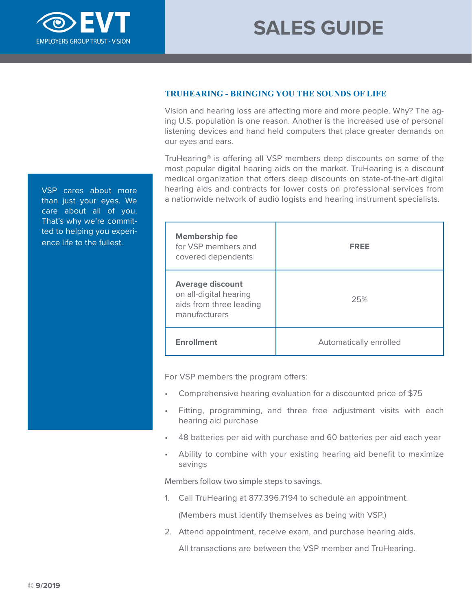

# **TRUHEARING - BRINGING YOU THE SOUNDS OF LIFE**

Vision and hearing loss are affecting more and more people. Why? The aging U.S. population is one reason. Another is the increased use of personal listening devices and hand held computers that place greater demands on our eyes and ears.

TruHearing® is offering all VSP members deep discounts on some of the most popular digital hearing aids on the market. TruHearing is a discount medical organization that offers deep discounts on state-of-the-art digital hearing aids and contracts for lower costs on professional services from a nationwide network of audio logists and hearing instrument specialists.

| <b>Membership fee</b><br>for VSP members and<br>covered dependents                            | <b>FREE</b>            |
|-----------------------------------------------------------------------------------------------|------------------------|
| <b>Average discount</b><br>on all-digital hearing<br>aids from three leading<br>manufacturers | 25%                    |
| <b>Enrollment</b>                                                                             | Automatically enrolled |

For VSP members the program offers:

- Comprehensive hearing evaluation for a discounted price of \$75
- Fitting, programming, and three free adjustment visits with each hearing aid purchase
- 48 batteries per aid with purchase and 60 batteries per aid each year
- Ability to combine with your existing hearing aid benefit to maximize savings

Members follow two simple steps to savings.

- 1. Call TruHearing at 877.396.7194 to schedule an appointment. (Members must identify themselves as being with VSP.)
- 2. Attend appointment, receive exam, and purchase hearing aids.

All transactions are between the VSP member and TruHearing.

VSP cares about more than just your eyes. We care about all of you. That's why we're committed to helping you experience life to the fullest.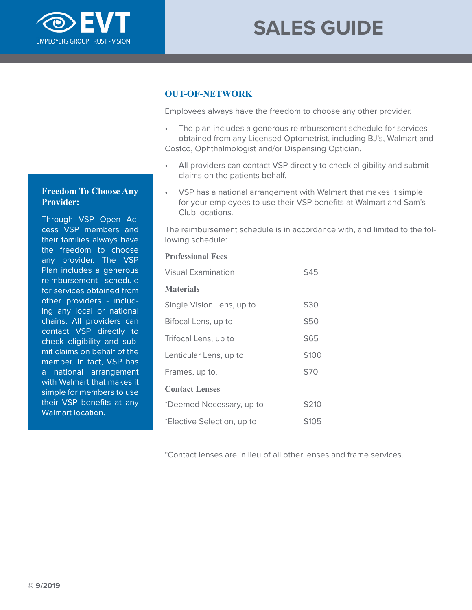

# **OUT-OF-NETWORK**

Employees always have the freedom to choose any other provider.

- The plan includes a generous reimbursement schedule for services obtained from any Licensed Optometrist, including BJ's, Walmart and Costco, Ophthalmologist and/or Dispensing Optician.
- All providers can contact VSP directly to check eligibility and submit claims on the patients behalf.
- VSP has a national arrangement with Walmart that makes it simple for your employees to use their VSP benefits at Walmart and Sam's Club locations.

The reimbursement schedule is in accordance with, and limited to the following schedule:

### **Professional Fees**

| <b>Visual Examination</b>  |       |
|----------------------------|-------|
| <b>Materials</b>           |       |
| Single Vision Lens, up to  | \$30  |
| Bifocal Lens, up to        | \$50  |
| Trifocal Lens, up to       | \$65  |
| Lenticular Lens, up to     | \$100 |
| Frames, up to.             | \$70  |
| <b>Contact Lenses</b>      |       |
| *Deemed Necessary, up to   | \$210 |
| *Elective Selection, up to | \$105 |

\*Contact lenses are in lieu of all other lenses and frame services.

# **Freedom To Choose Any Provider:**

Through VSP Open Access VSP members and their families always have the freedom to choose any provider. The VSP Plan includes a generous reimbursement schedule for services obtained from other providers - including any local or national chains. All providers can contact VSP directly to check eligibility and submit claims on behalf of the member. In fact, VSP has a national arrangement with Walmart that makes it simple for members to use their VSP benefits at any Walmart location.